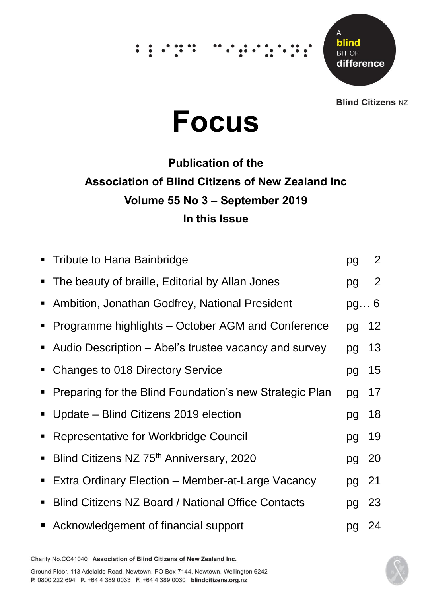

**Blind Citizens NZ** 

# **Focus**

### **Publication of the Association of Blind Citizens of New Zealand Inc Volume 55 No 3 – September 2019 In this Issue**

|                | • Tribute to Hana Bainbridge                              | pg  | $\overline{2}$ |
|----------------|-----------------------------------------------------------|-----|----------------|
|                | • The beauty of braille, Editorial by Allan Jones         | pg  | 2              |
|                | • Ambition, Jonathan Godfrey, National President          | pg6 |                |
|                | • Programme highlights – October AGM and Conference       | pg  | 12             |
|                | • Audio Description – Abel's trustee vacancy and survey   | pg  | 13             |
|                | • Changes to 018 Directory Service                        | pg  | 15             |
|                | • Preparing for the Blind Foundation's new Strategic Plan | pg  | 17             |
|                | • Update – Blind Citizens 2019 election                   | pg  | 18             |
|                | • Representative for Workbridge Council                   | pg  | 19             |
| $\blacksquare$ | Blind Citizens NZ 75 <sup>th</sup> Anniversary, 2020      | pg  | 20             |
|                | Extra Ordinary Election – Member-at-Large Vacancy         | pg  | 21             |
| п              | <b>Blind Citizens NZ Board / National Office Contacts</b> | pg  | 23             |
|                | ■ Acknowledgement of financial support                    | pg  | -24            |



Ground Floor, 113 Adelaide Road, Newtown, PO Box 7144, Newtown, Wellington 6242 P. 0800 222 694 P. +64 4 389 0033 F. +64 4 389 0030 blindcitizens.org.nz

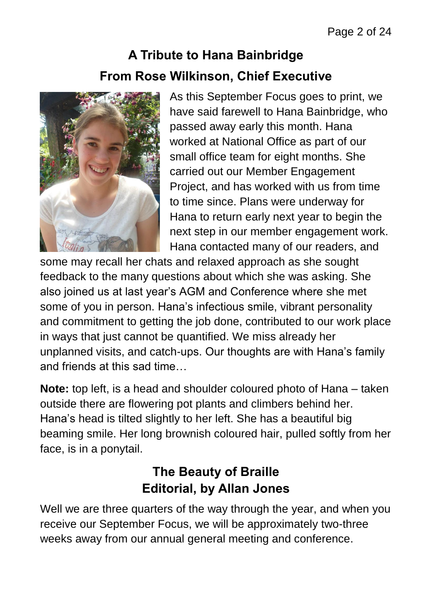### **A Tribute to Hana Bainbridge From Rose Wilkinson, Chief Executive**



As this September Focus goes to print, we have said farewell to Hana Bainbridge, who passed away early this month. Hana worked at National Office as part of our small office team for eight months. She carried out our Member Engagement Project, and has worked with us from time to time since. Plans were underway for Hana to return early next year to begin the next step in our member engagement work. Hana contacted many of our readers, and

some may recall her chats and relaxed approach as she sought feedback to the many questions about which she was asking. She also joined us at last year's AGM and Conference where she met some of you in person. Hana's infectious smile, vibrant personality and commitment to getting the job done, contributed to our work place in ways that just cannot be quantified. We miss already her unplanned visits, and catch-ups. Our thoughts are with Hana's family and friends at this sad time…

**Note:** top left, is a head and shoulder coloured photo of Hana – taken outside there are flowering pot plants and climbers behind her. Hana's head is tilted slightly to her left. She has a beautiful big beaming smile. Her long brownish coloured hair, pulled softly from her face, is in a ponytail.

### **The Beauty of Braille Editorial, by Allan Jones**

Well we are three quarters of the way through the year, and when you receive our September Focus, we will be approximately two-three weeks away from our annual general meeting and conference.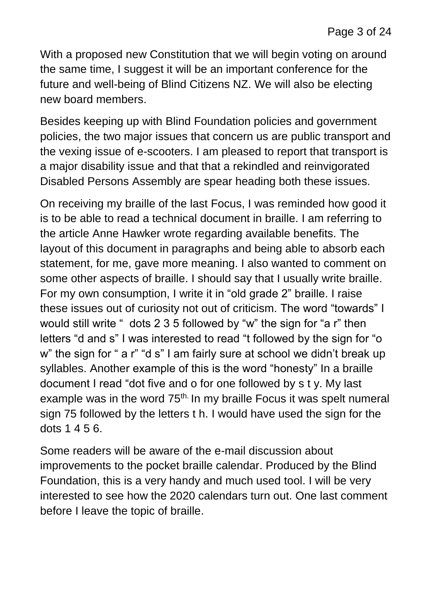With a proposed new Constitution that we will begin voting on around the same time, I suggest it will be an important conference for the future and well-being of Blind Citizens NZ. We will also be electing new board members.

Besides keeping up with Blind Foundation policies and government policies, the two major issues that concern us are public transport and the vexing issue of e-scooters. I am pleased to report that transport is a major disability issue and that that a rekindled and reinvigorated Disabled Persons Assembly are spear heading both these issues.

On receiving my braille of the last Focus, I was reminded how good it is to be able to read a technical document in braille. I am referring to the article Anne Hawker wrote regarding available benefits. The layout of this document in paragraphs and being able to absorb each statement, for me, gave more meaning. I also wanted to comment on some other aspects of braille. I should say that I usually write braille. For my own consumption, I write it in "old grade 2" braille. I raise these issues out of curiosity not out of criticism. The word "towards" I would still write " dots 2 3 5 followed by "w" the sign for "a r" then letters "d and s" I was interested to read "t followed by the sign for "o w" the sign for " a r" "d s" I am fairly sure at school we didn't break up syllables. Another example of this is the word "honesty" In a braille document I read "dot five and o for one followed by s t y. My last example was in the word 75<sup>th.</sup> In my braille Focus it was spelt numeral sign 75 followed by the letters t h. I would have used the sign for the dots 1 4 5 6.

Some readers will be aware of the e-mail discussion about improvements to the pocket braille calendar. Produced by the Blind Foundation, this is a very handy and much used tool. I will be very interested to see how the 2020 calendars turn out. One last comment before I leave the topic of braille.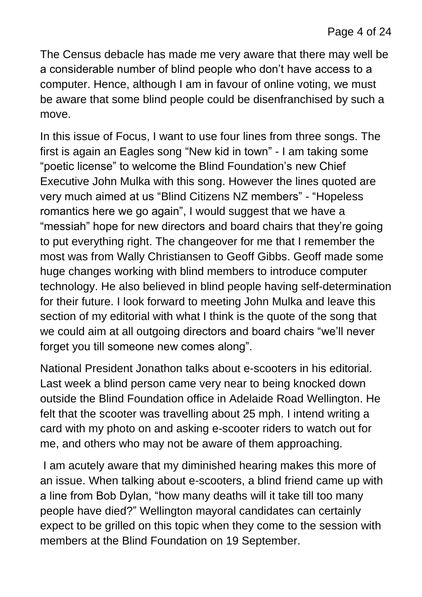The Census debacle has made me very aware that there may well be a considerable number of blind people who don't have access to a computer. Hence, although I am in favour of online voting, we must be aware that some blind people could be disenfranchised by such a move.

In this issue of Focus, I want to use four lines from three songs. The first is again an Eagles song "New kid in town" - I am taking some "poetic license" to welcome the Blind Foundation's new Chief Executive John Mulka with this song. However the lines quoted are very much aimed at us "Blind Citizens NZ members" - "Hopeless romantics here we go again", I would suggest that we have a "messiah" hope for new directors and board chairs that they're going to put everything right. The changeover for me that I remember the most was from Wally Christiansen to Geoff Gibbs. Geoff made some huge changes working with blind members to introduce computer technology. He also believed in blind people having self-determination for their future. I look forward to meeting John Mulka and leave this section of my editorial with what I think is the quote of the song that we could aim at all outgoing directors and board chairs "we'll never forget you till someone new comes along".

National President Jonathon talks about e-scooters in his editorial. Last week a blind person came very near to being knocked down outside the Blind Foundation office in Adelaide Road Wellington. He felt that the scooter was travelling about 25 mph. I intend writing a card with my photo on and asking e-scooter riders to watch out for me, and others who may not be aware of them approaching.

I am acutely aware that my diminished hearing makes this more of an issue. When talking about e-scooters, a blind friend came up with a line from Bob Dylan, "how many deaths will it take till too many people have died?" Wellington mayoral candidates can certainly expect to be grilled on this topic when they come to the session with members at the Blind Foundation on 19 September.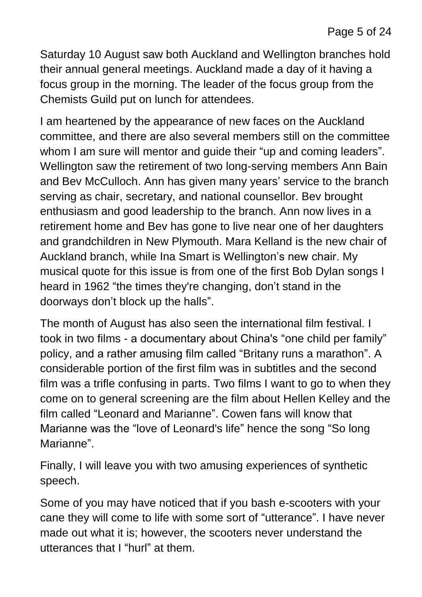Saturday 10 August saw both Auckland and Wellington branches hold their annual general meetings. Auckland made a day of it having a focus group in the morning. The leader of the focus group from the Chemists Guild put on lunch for attendees.

I am heartened by the appearance of new faces on the Auckland committee, and there are also several members still on the committee whom I am sure will mentor and guide their "up and coming leaders". Wellington saw the retirement of two long-serving members Ann Bain and Bev McCulloch. Ann has given many years' service to the branch serving as chair, secretary, and national counsellor. Bev brought enthusiasm and good leadership to the branch. Ann now lives in a retirement home and Bev has gone to live near one of her daughters and grandchildren in New Plymouth. Mara Kelland is the new chair of Auckland branch, while Ina Smart is Wellington's new chair. My musical quote for this issue is from one of the first Bob Dylan songs I heard in 1962 "the times they're changing, don't stand in the doorways don't block up the halls".

The month of August has also seen the international film festival. I took in two films - a documentary about China's "one child per family" policy, and a rather amusing film called "Britany runs a marathon". A considerable portion of the first film was in subtitles and the second film was a trifle confusing in parts. Two films I want to go to when they come on to general screening are the film about Hellen Kelley and the film called "Leonard and Marianne". Cowen fans will know that Marianne was the "love of Leonard's life" hence the song "So long Marianne".

Finally, I will leave you with two amusing experiences of synthetic speech.

Some of you may have noticed that if you bash e-scooters with your cane they will come to life with some sort of "utterance". I have never made out what it is; however, the scooters never understand the utterances that I "hurl" at them.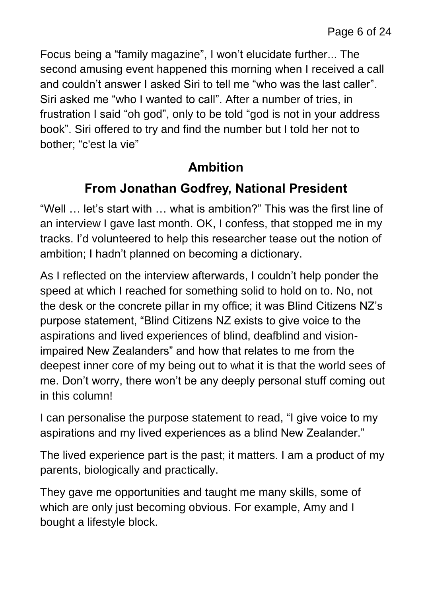Focus being a "family magazine", I won't elucidate further... The second amusing event happened this morning when I received a call and couldn't answer I asked Siri to tell me "who was the last caller". Siri asked me "who I wanted to call". After a number of tries, in frustration I said "oh god", only to be told "god is not in your address book". Siri offered to try and find the number but I told her not to bother; "c'est la vie"

### **Ambition**

### **From Jonathan Godfrey, National President**

"Well … let's start with … what is ambition?" This was the first line of an interview I gave last month. OK, I confess, that stopped me in my tracks. I'd volunteered to help this researcher tease out the notion of ambition; I hadn't planned on becoming a dictionary.

As I reflected on the interview afterwards, I couldn't help ponder the speed at which I reached for something solid to hold on to. No, not the desk or the concrete pillar in my office; it was Blind Citizens NZ's purpose statement, "Blind Citizens NZ exists to give voice to the aspirations and lived experiences of blind, deafblind and visionimpaired New Zealanders" and how that relates to me from the deepest inner core of my being out to what it is that the world sees of me. Don't worry, there won't be any deeply personal stuff coming out in this column!

I can personalise the purpose statement to read, "I give voice to my aspirations and my lived experiences as a blind New Zealander."

The lived experience part is the past; it matters. I am a product of my parents, biologically and practically.

They gave me opportunities and taught me many skills, some of which are only just becoming obvious. For example, Amy and I bought a lifestyle block.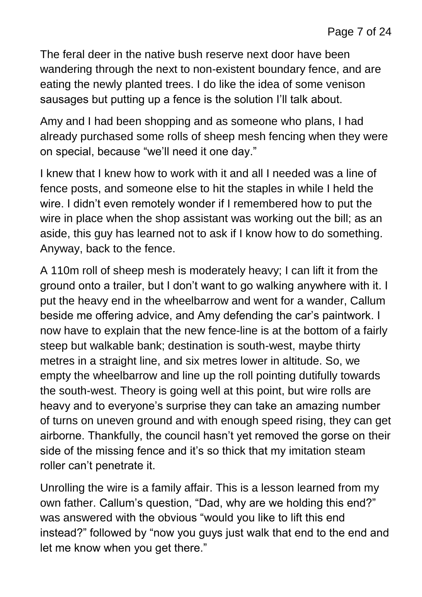The feral deer in the native bush reserve next door have been wandering through the next to non-existent boundary fence, and are eating the newly planted trees. I do like the idea of some venison sausages but putting up a fence is the solution I'll talk about.

Amy and I had been shopping and as someone who plans, I had already purchased some rolls of sheep mesh fencing when they were on special, because "we'll need it one day."

I knew that I knew how to work with it and all I needed was a line of fence posts, and someone else to hit the staples in while I held the wire. I didn't even remotely wonder if I remembered how to put the wire in place when the shop assistant was working out the bill; as an aside, this guy has learned not to ask if I know how to do something. Anyway, back to the fence.

A 110m roll of sheep mesh is moderately heavy; I can lift it from the ground onto a trailer, but I don't want to go walking anywhere with it. I put the heavy end in the wheelbarrow and went for a wander, Callum beside me offering advice, and Amy defending the car's paintwork. I now have to explain that the new fence-line is at the bottom of a fairly steep but walkable bank; destination is south-west, maybe thirty metres in a straight line, and six metres lower in altitude. So, we empty the wheelbarrow and line up the roll pointing dutifully towards the south-west. Theory is going well at this point, but wire rolls are heavy and to everyone's surprise they can take an amazing number of turns on uneven ground and with enough speed rising, they can get airborne. Thankfully, the council hasn't yet removed the gorse on their side of the missing fence and it's so thick that my imitation steam roller can't penetrate it.

Unrolling the wire is a family affair. This is a lesson learned from my own father. Callum's question, "Dad, why are we holding this end?" was answered with the obvious "would you like to lift this end instead?" followed by "now you guys just walk that end to the end and let me know when you get there."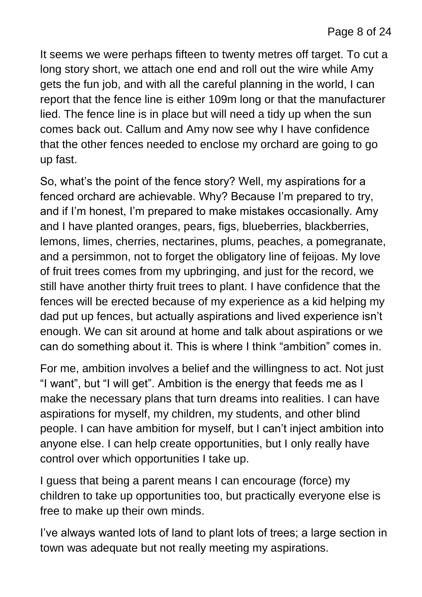It seems we were perhaps fifteen to twenty metres off target. To cut a long story short, we attach one end and roll out the wire while Amy gets the fun job, and with all the careful planning in the world, I can report that the fence line is either 109m long or that the manufacturer lied. The fence line is in place but will need a tidy up when the sun comes back out. Callum and Amy now see why I have confidence that the other fences needed to enclose my orchard are going to go up fast.

So, what's the point of the fence story? Well, my aspirations for a fenced orchard are achievable. Why? Because I'm prepared to try, and if I'm honest, I'm prepared to make mistakes occasionally. Amy and I have planted oranges, pears, figs, blueberries, blackberries, lemons, limes, cherries, nectarines, plums, peaches, a pomegranate, and a persimmon, not to forget the obligatory line of feijoas. My love of fruit trees comes from my upbringing, and just for the record, we still have another thirty fruit trees to plant. I have confidence that the fences will be erected because of my experience as a kid helping my dad put up fences, but actually aspirations and lived experience isn't enough. We can sit around at home and talk about aspirations or we can do something about it. This is where I think "ambition" comes in.

For me, ambition involves a belief and the willingness to act. Not just "I want", but "I will get". Ambition is the energy that feeds me as I make the necessary plans that turn dreams into realities. I can have aspirations for myself, my children, my students, and other blind people. I can have ambition for myself, but I can't inject ambition into anyone else. I can help create opportunities, but I only really have control over which opportunities I take up.

I guess that being a parent means I can encourage (force) my children to take up opportunities too, but practically everyone else is free to make up their own minds.

I've always wanted lots of land to plant lots of trees; a large section in town was adequate but not really meeting my aspirations.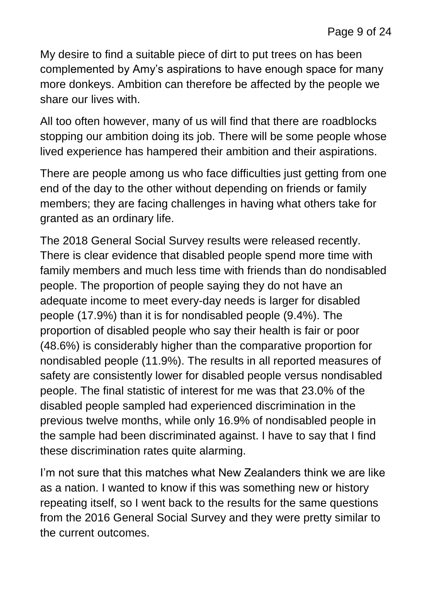My desire to find a suitable piece of dirt to put trees on has been complemented by Amy's aspirations to have enough space for many more donkeys. Ambition can therefore be affected by the people we share our lives with.

All too often however, many of us will find that there are roadblocks stopping our ambition doing its job. There will be some people whose lived experience has hampered their ambition and their aspirations.

There are people among us who face difficulties just getting from one end of the day to the other without depending on friends or family members; they are facing challenges in having what others take for granted as an ordinary life.

The 2018 General Social Survey results were released recently. There is clear evidence that disabled people spend more time with family members and much less time with friends than do nondisabled people. The proportion of people saying they do not have an adequate income to meet every-day needs is larger for disabled people (17.9%) than it is for nondisabled people (9.4%). The proportion of disabled people who say their health is fair or poor (48.6%) is considerably higher than the comparative proportion for nondisabled people (11.9%). The results in all reported measures of safety are consistently lower for disabled people versus nondisabled people. The final statistic of interest for me was that 23.0% of the disabled people sampled had experienced discrimination in the previous twelve months, while only 16.9% of nondisabled people in the sample had been discriminated against. I have to say that I find these discrimination rates quite alarming.

I'm not sure that this matches what New Zealanders think we are like as a nation. I wanted to know if this was something new or history repeating itself, so I went back to the results for the same questions from the 2016 General Social Survey and they were pretty similar to the current outcomes.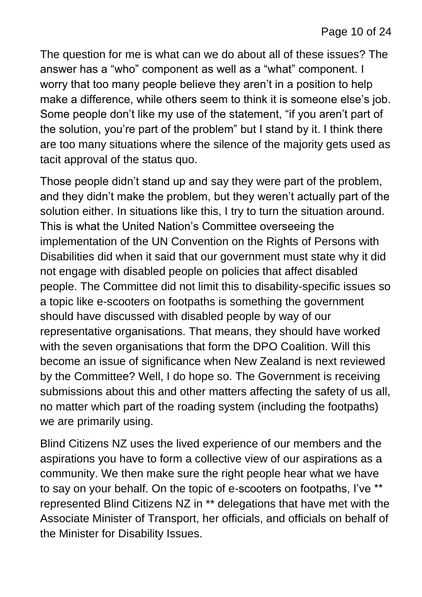The question for me is what can we do about all of these issues? The answer has a "who" component as well as a "what" component. I worry that too many people believe they aren't in a position to help make a difference, while others seem to think it is someone else's job. Some people don't like my use of the statement, "if you aren't part of the solution, you're part of the problem" but I stand by it. I think there are too many situations where the silence of the majority gets used as tacit approval of the status quo.

Those people didn't stand up and say they were part of the problem, and they didn't make the problem, but they weren't actually part of the solution either. In situations like this, I try to turn the situation around. This is what the United Nation's Committee overseeing the implementation of the UN Convention on the Rights of Persons with Disabilities did when it said that our government must state why it did not engage with disabled people on policies that affect disabled people. The Committee did not limit this to disability-specific issues so a topic like e-scooters on footpaths is something the government should have discussed with disabled people by way of our representative organisations. That means, they should have worked with the seven organisations that form the DPO Coalition. Will this become an issue of significance when New Zealand is next reviewed by the Committee? Well, I do hope so. The Government is receiving submissions about this and other matters affecting the safety of us all, no matter which part of the roading system (including the footpaths) we are primarily using.

Blind Citizens NZ uses the lived experience of our members and the aspirations you have to form a collective view of our aspirations as a community. We then make sure the right people hear what we have to say on your behalf. On the topic of e-scooters on footpaths, I've \*\* represented Blind Citizens NZ in \*\* delegations that have met with the Associate Minister of Transport, her officials, and officials on behalf of the Minister for Disability Issues.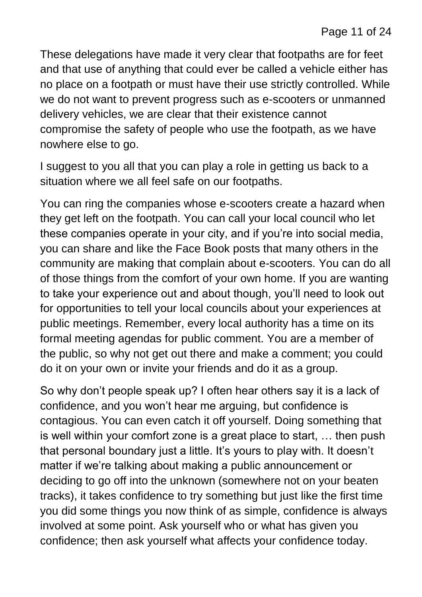These delegations have made it very clear that footpaths are for feet and that use of anything that could ever be called a vehicle either has no place on a footpath or must have their use strictly controlled. While we do not want to prevent progress such as e-scooters or unmanned delivery vehicles, we are clear that their existence cannot compromise the safety of people who use the footpath, as we have nowhere else to go.

I suggest to you all that you can play a role in getting us back to a situation where we all feel safe on our footpaths.

You can ring the companies whose e-scooters create a hazard when they get left on the footpath. You can call your local council who let these companies operate in your city, and if you're into social media, you can share and like the Face Book posts that many others in the community are making that complain about e-scooters. You can do all of those things from the comfort of your own home. If you are wanting to take your experience out and about though, you'll need to look out for opportunities to tell your local councils about your experiences at public meetings. Remember, every local authority has a time on its formal meeting agendas for public comment. You are a member of the public, so why not get out there and make a comment; you could do it on your own or invite your friends and do it as a group.

So why don't people speak up? I often hear others say it is a lack of confidence, and you won't hear me arguing, but confidence is contagious. You can even catch it off yourself. Doing something that is well within your comfort zone is a great place to start, … then push that personal boundary just a little. It's yours to play with. It doesn't matter if we're talking about making a public announcement or deciding to go off into the unknown (somewhere not on your beaten tracks), it takes confidence to try something but just like the first time you did some things you now think of as simple, confidence is always involved at some point. Ask yourself who or what has given you confidence; then ask yourself what affects your confidence today.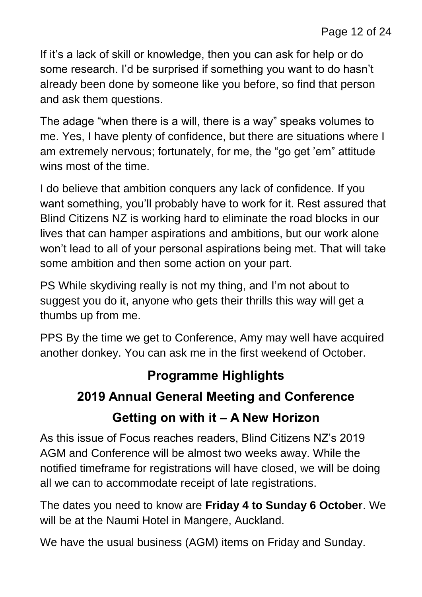If it's a lack of skill or knowledge, then you can ask for help or do some research. I'd be surprised if something you want to do hasn't already been done by someone like you before, so find that person and ask them questions.

The adage "when there is a will, there is a way" speaks volumes to me. Yes, I have plenty of confidence, but there are situations where I am extremely nervous; fortunately, for me, the "go get 'em" attitude wins most of the time.

I do believe that ambition conquers any lack of confidence. If you want something, you'll probably have to work for it. Rest assured that Blind Citizens NZ is working hard to eliminate the road blocks in our lives that can hamper aspirations and ambitions, but our work alone won't lead to all of your personal aspirations being met. That will take some ambition and then some action on your part.

PS While skydiving really is not my thing, and I'm not about to suggest you do it, anyone who gets their thrills this way will get a thumbs up from me.

PPS By the time we get to Conference, Amy may well have acquired another donkey. You can ask me in the first weekend of October.

# **Programme Highlights 2019 Annual General Meeting and Conference Getting on with it – A New Horizon**

As this issue of Focus reaches readers, Blind Citizens NZ's 2019 AGM and Conference will be almost two weeks away. While the notified timeframe for registrations will have closed, we will be doing all we can to accommodate receipt of late registrations.

The dates you need to know are **Friday 4 to Sunday 6 October**. We will be at the Naumi Hotel in Mangere, Auckland.

We have the usual business (AGM) items on Friday and Sunday.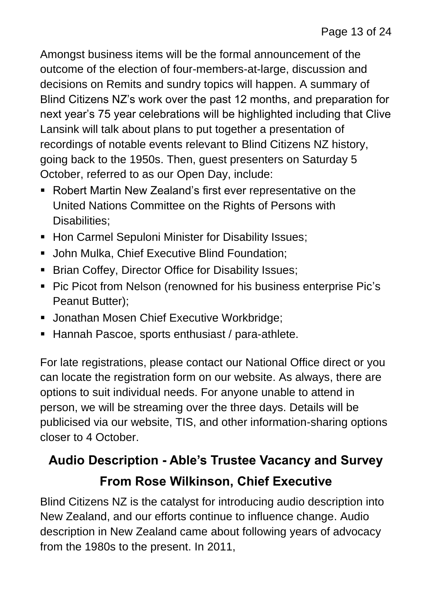Amongst business items will be the formal announcement of the outcome of the election of four-members-at-large, discussion and decisions on Remits and sundry topics will happen. A summary of Blind Citizens NZ's work over the past 12 months, and preparation for next year's 75 year celebrations will be highlighted including that Clive Lansink will talk about plans to put together a presentation of recordings of notable events relevant to Blind Citizens NZ history, going back to the 1950s. Then, guest presenters on Saturday 5 October, referred to as our Open Day, include:

- Robert Martin New Zealand's first ever representative on the United Nations Committee on the Rights of Persons with Disabilities:
- **Hon Carmel Sepuloni Minister for Disability Issues;**
- **John Mulka, Chief Executive Blind Foundation:**
- **Brian Coffey, Director Office for Disability Issues;**
- **Pic Picot from Nelson (renowned for his business enterprise Pic's** Peanut Butter);
- **Jonathan Mosen Chief Executive Workbridge;**
- Hannah Pascoe, sports enthusiast / para-athlete.

For late registrations, please contact our National Office direct or you can locate the registration form on our website. As always, there are options to suit individual needs. For anyone unable to attend in person, we will be streaming over the three days. Details will be publicised via our website, TIS, and other information-sharing options closer to 4 October.

# **Audio Description - Able's Trustee Vacancy and Survey From Rose Wilkinson, Chief Executive**

Blind Citizens NZ is the catalyst for introducing audio description into New Zealand, and our efforts continue to influence change. Audio description in New Zealand came about following years of advocacy from the 1980s to the present. In 2011,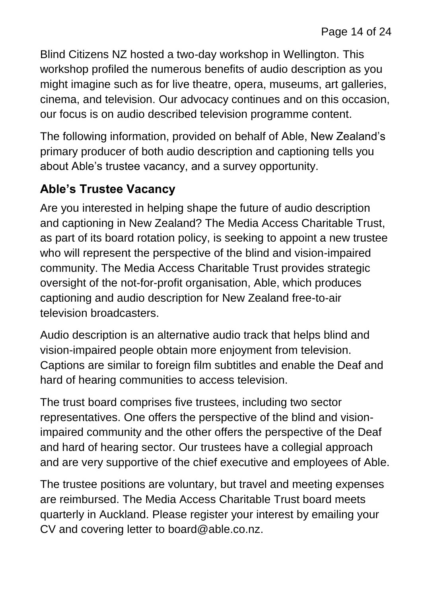Blind Citizens NZ hosted a two-day workshop in Wellington. This workshop profiled the numerous benefits of audio description as you might imagine such as for live theatre, opera, museums, art galleries, cinema, and television. Our advocacy continues and on this occasion, our focus is on audio described television programme content.

The following information, provided on behalf of Able, New Zealand's primary producer of both audio description and captioning tells you about Able's trustee vacancy, and a survey opportunity.

### **Able's Trustee Vacancy**

Are you interested in helping shape the future of audio description and captioning in New Zealand? The Media Access Charitable Trust, as part of its board rotation policy, is seeking to appoint a new trustee who will represent the perspective of the blind and vision-impaired community. The Media Access Charitable Trust provides strategic oversight of the not-for-profit organisation, Able, which produces captioning and audio description for New Zealand free-to-air television broadcasters.

Audio description is an alternative audio track that helps blind and vision-impaired people obtain more enjoyment from television. Captions are similar to foreign film subtitles and enable the Deaf and hard of hearing communities to access television.

The trust board comprises five trustees, including two sector representatives. One offers the perspective of the blind and visionimpaired community and the other offers the perspective of the Deaf and hard of hearing sector. Our trustees have a collegial approach and are very supportive of the chief executive and employees of Able.

The trustee positions are voluntary, but travel and meeting expenses are reimbursed. The Media Access Charitable Trust board meets quarterly in Auckland. Please register your interest by emailing your CV and covering letter to [board@able.co.nz.](mailto:board@able.co.nz)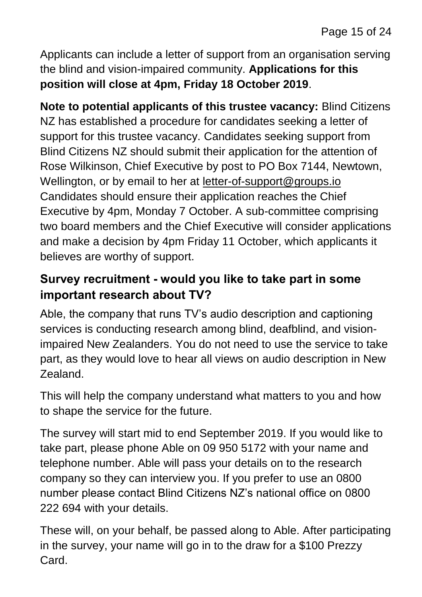Applicants can include a letter of support from an organisation serving the blind and vision-impaired community. **Applications for this position will close at 4pm, Friday 18 October 2019**.

**Note to potential applicants of this trustee vacancy:** Blind Citizens NZ has established a procedure for candidates seeking a letter of support for this trustee vacancy. Candidates seeking support from Blind Citizens NZ should submit their application for the attention of Rose Wilkinson, Chief Executive by post to PO Box 7144, Newtown, Wellington, or by email to her at [letter-of-support@groups.io](mailto:letter-of-support@groups.io) Candidates should ensure their application reaches the Chief Executive by 4pm, Monday 7 October. A sub-committee comprising two board members and the Chief Executive will consider applications and make a decision by 4pm Friday 11 October, which applicants it believes are worthy of support.

### **Survey recruitment - would you like to take part in some important research about TV?**

Able, the company that runs TV's audio description and captioning services is conducting research among blind, deafblind, and visionimpaired New Zealanders. You do not need to use the service to take part, as they would love to hear all views on audio description in New Zealand.

This will help the company understand what matters to you and how to shape the service for the future.

The survey will start mid to end September 2019. If you would like to take part, please phone Able on 09 950 5172 with your name and telephone number. Able will pass your details on to the research company so they can interview you. If you prefer to use an 0800 number please contact Blind Citizens NZ's national office on 0800 222 694 with your details.

These will, on your behalf, be passed along to Able. After participating in the survey, your name will go in to the draw for a \$100 Prezzy Card.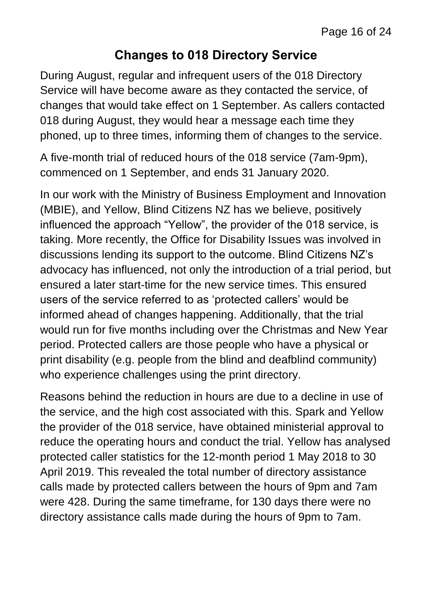### **Changes to 018 Directory Service**

During August, regular and infrequent users of the 018 Directory Service will have become aware as they contacted the service, of changes that would take effect on 1 September. As callers contacted 018 during August, they would hear a message each time they phoned, up to three times, informing them of changes to the service.

A five-month trial of reduced hours of the 018 service (7am-9pm), commenced on 1 September, and ends 31 January 2020.

In our work with the Ministry of Business Employment and Innovation (MBIE), and Yellow, Blind Citizens NZ has we believe, positively influenced the approach "Yellow", the provider of the 018 service, is taking. More recently, the Office for Disability Issues was involved in discussions lending its support to the outcome. Blind Citizens NZ's advocacy has influenced, not only the introduction of a trial period, but ensured a later start-time for the new service times. This ensured users of the service referred to as 'protected callers' would be informed ahead of changes happening. Additionally, that the trial would run for five months including over the Christmas and New Year period. Protected callers are those people who have a physical or print disability (e.g. people from the blind and deafblind community) who experience challenges using the print directory.

Reasons behind the reduction in hours are due to a decline in use of the service, and the high cost associated with this. Spark and Yellow the provider of the 018 service, have obtained ministerial approval to reduce the operating hours and conduct the trial. Yellow has analysed protected caller statistics for the 12-month period 1 May 2018 to 30 April 2019. This revealed the total number of directory assistance calls made by protected callers between the hours of 9pm and 7am were 428. During the same timeframe, for 130 days there were no directory assistance calls made during the hours of 9pm to 7am.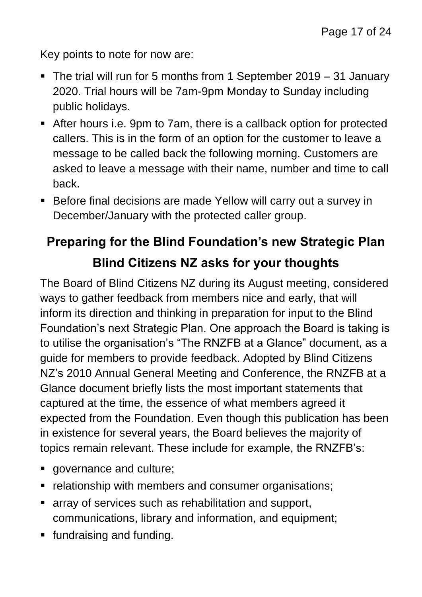Key points to note for now are:

- The trial will run for 5 months from 1 September 2019 31 January 2020. Trial hours will be 7am-9pm Monday to Sunday including public holidays.
- After hours i.e. 9pm to 7am, there is a callback option for protected callers. This is in the form of an option for the customer to leave a message to be called back the following morning. Customers are asked to leave a message with their name, number and time to call back.
- Before final decisions are made Yellow will carry out a survey in December/January with the protected caller group.

# **Preparing for the Blind Foundation's new Strategic Plan Blind Citizens NZ asks for your thoughts**

The Board of Blind Citizens NZ during its August meeting, considered ways to gather feedback from members nice and early, that will inform its direction and thinking in preparation for input to the Blind Foundation's next Strategic Plan. One approach the Board is taking is to utilise the organisation's "The RNZFB at a Glance" document, as a guide for members to provide feedback. Adopted by Blind Citizens NZ's 2010 Annual General Meeting and Conference, the RNZFB at a Glance document briefly lists the most important statements that captured at the time, the essence of what members agreed it expected from the Foundation. Even though this publication has been in existence for several years, the Board believes the majority of topics remain relevant. These include for example, the RNZFB's:

- qovernance and culture:
- **F** relationship with members and consumer organisations;
- array of services such as rehabilitation and support, communications, library and information, and equipment;
- **fundraising and funding.**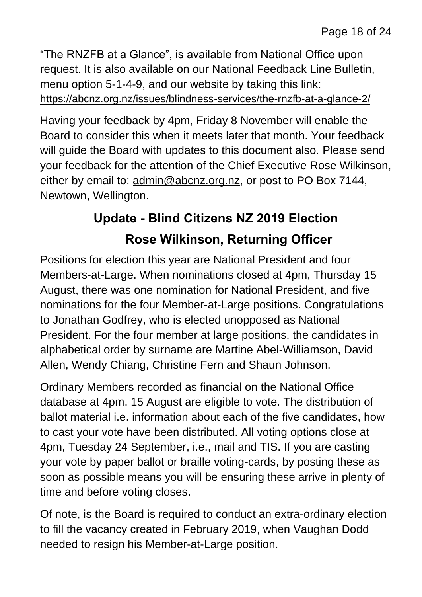"The RNZFB at a Glance", is available from National Office upon request. It is also available on our National Feedback Line Bulletin, menu option 5-1-4-9, and our website by taking this link: <https://abcnz.org.nz/issues/blindness-services/the-rnzfb-at-a-glance-2/>

Having your feedback by 4pm, Friday 8 November will enable the Board to consider this when it meets later that month. Your feedback will quide the Board with updates to this document also. Please send your feedback for the attention of the Chief Executive Rose Wilkinson, either by email to: [admin@abcnz.org.nz,](mailto:admin@abcnz.org.nz) or post to PO Box 7144, Newtown, Wellington.

# **Update - Blind Citizens NZ 2019 Election Rose Wilkinson, Returning Officer**

Positions for election this year are National President and four Members-at-Large. When nominations closed at 4pm, Thursday 15 August, there was one nomination for National President, and five nominations for the four Member-at-Large positions. Congratulations to Jonathan Godfrey, who is elected unopposed as National President. For the four member at large positions, the candidates in alphabetical order by surname are Martine Abel-Williamson, David Allen, Wendy Chiang, Christine Fern and Shaun Johnson.

Ordinary Members recorded as financial on the National Office database at 4pm, 15 August are eligible to vote. The distribution of ballot material i.e. information about each of the five candidates, how to cast your vote have been distributed. All voting options close at 4pm, Tuesday 24 September, i.e., mail and TIS. If you are casting your vote by paper ballot or braille voting-cards, by posting these as soon as possible means you will be ensuring these arrive in plenty of time and before voting closes.

Of note, is the Board is required to conduct an extra-ordinary election to fill the vacancy created in February 2019, when Vaughan Dodd needed to resign his Member-at-Large position.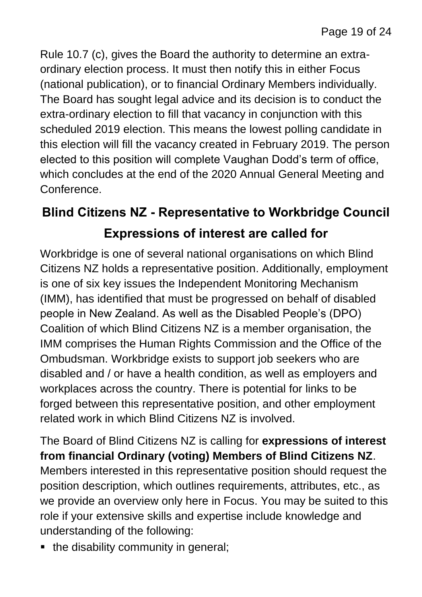Rule 10.7 (c), gives the Board the authority to determine an extraordinary election process. It must then notify this in either Focus (national publication), or to financial Ordinary Members individually. The Board has sought legal advice and its decision is to conduct the extra-ordinary election to fill that vacancy in conjunction with this scheduled 2019 election. This means the lowest polling candidate in this election will fill the vacancy created in February 2019. The person elected to this position will complete Vaughan Dodd's term of office, which concludes at the end of the 2020 Annual General Meeting and Conference.

### **Blind Citizens NZ - Representative to Workbridge Council**

### **Expressions of interest are called for**

Workbridge is one of several national organisations on which Blind Citizens NZ holds a representative position. Additionally, employment is one of six key issues the Independent Monitoring Mechanism (IMM), has identified that must be progressed on behalf of disabled people in New Zealand. As well as the Disabled People's (DPO) Coalition of which Blind Citizens NZ is a member organisation, the IMM comprises the Human Rights Commission and the Office of the Ombudsman. Workbridge exists to support job seekers who are disabled and / or have a health condition, as well as employers and workplaces across the country. There is potential for links to be forged between this representative position, and other employment related work in which Blind Citizens NZ is involved.

The Board of Blind Citizens NZ is calling for **expressions of interest from financial Ordinary (voting) Members of Blind Citizens NZ**. Members interested in this representative position should request the position description, which outlines requirements, attributes, etc., as we provide an overview only here in Focus. You may be suited to this role if your extensive skills and expertise include knowledge and understanding of the following:

• the disability community in general;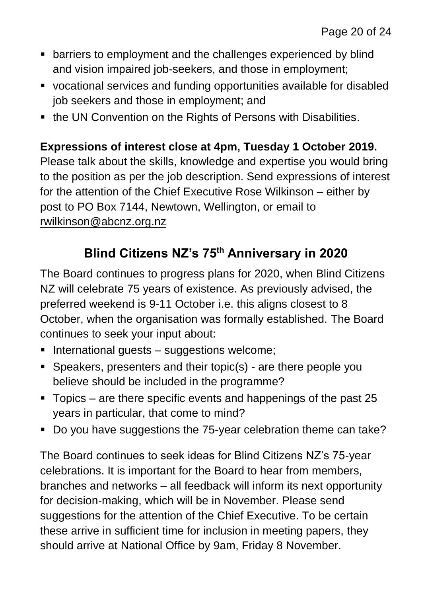- barriers to employment and the challenges experienced by blind and vision impaired job-seekers, and those in employment;
- vocational services and funding opportunities available for disabled job seekers and those in employment; and
- the UN Convention on the Rights of Persons with Disabilities.

#### **Expressions of interest close at 4pm, Tuesday 1 October 2019.**

Please talk about the skills, knowledge and expertise you would bring to the position as per the job description. Send expressions of interest for the attention of the Chief Executive Rose Wilkinson – either by post to PO Box 7144, Newtown, Wellington, or email to [rwilkinson@abcnz.org.nz](mailto:rwilkinson@abcnz.org.nz)

### **Blind Citizens NZ's 75th Anniversary in 2020**

The Board continues to progress plans for 2020, when Blind Citizens NZ will celebrate 75 years of existence. As previously advised, the preferred weekend is 9-11 October i.e. this aligns closest to 8 October, when the organisation was formally established. The Board continues to seek your input about:

- $\blacksquare$  International guests  $-$  suggestions welcome;
- Speakers, presenters and their topic(s) are there people you believe should be included in the programme?
- Topics are there specific events and happenings of the past 25 years in particular, that come to mind?
- Do you have suggestions the 75-year celebration theme can take?

The Board continues to seek ideas for Blind Citizens NZ's 75-year celebrations. It is important for the Board to hear from members, branches and networks – all feedback will inform its next opportunity for decision-making, which will be in November. Please send suggestions for the attention of the Chief Executive. To be certain these arrive in sufficient time for inclusion in meeting papers, they should arrive at National Office by 9am, Friday 8 November.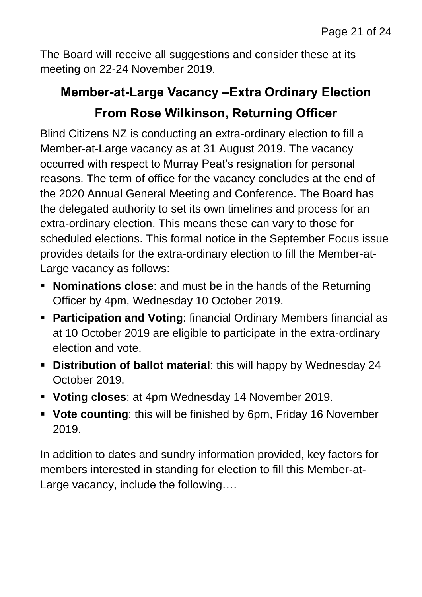The Board will receive all suggestions and consider these at its meeting on 22-24 November 2019.

# **Member-at-Large Vacancy –Extra Ordinary Election From Rose Wilkinson, Returning Officer**

Blind Citizens NZ is conducting an extra-ordinary election to fill a Member-at-Large vacancy as at 31 August 2019. The vacancy occurred with respect to Murray Peat's resignation for personal reasons. The term of office for the vacancy concludes at the end of the 2020 Annual General Meeting and Conference. The Board has the delegated authority to set its own timelines and process for an extra-ordinary election. This means these can vary to those for scheduled elections. This formal notice in the September Focus issue provides details for the extra-ordinary election to fill the Member-at-Large vacancy as follows:

- **Nominations close**: and must be in the hands of the Returning Officer by 4pm, Wednesday 10 October 2019.
- **Participation and Voting**: financial Ordinary Members financial as at 10 October 2019 are eligible to participate in the extra-ordinary election and vote.
- **Distribution of ballot material**: this will happy by Wednesday 24 October 2019.
- **Voting closes**: at 4pm Wednesday 14 November 2019.
- **Vote counting**: this will be finished by 6pm, Friday 16 November 2019.

In addition to dates and sundry information provided, key factors for members interested in standing for election to fill this Member-at-Large vacancy, include the following….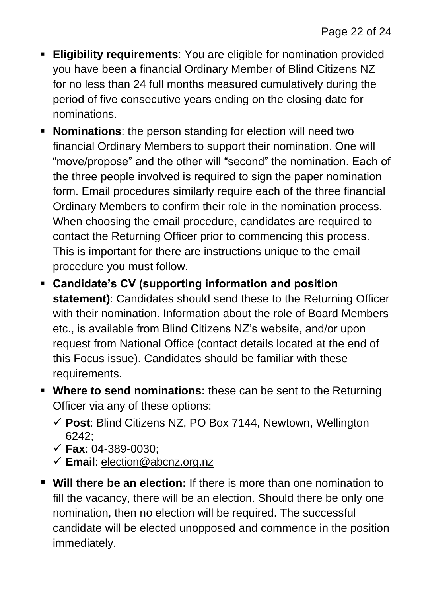- **Eligibility requirements**: You are eligible for nomination provided you have been a financial Ordinary Member of Blind Citizens NZ for no less than 24 full months measured cumulatively during the period of five consecutive years ending on the closing date for nominations.
- **Nominations:** the person standing for election will need two financial Ordinary Members to support their nomination. One will "move/propose" and the other will "second" the nomination. Each of the three people involved is required to sign the paper nomination form. Email procedures similarly require each of the three financial Ordinary Members to confirm their role in the nomination process. When choosing the email procedure, candidates are required to contact the Returning Officer prior to commencing this process. This is important for there are instructions unique to the email procedure you must follow.
- **Candidate's CV (supporting information and position statement)**: Candidates should send these to the Returning Officer with their nomination. Information about the role of Board Members etc., is available from Blind Citizens NZ's website, and/or upon request from National Office (contact details located at the end of this Focus issue). Candidates should be familiar with these requirements.
- **Where to send nominations:** these can be sent to the Returning Officer via any of these options:
	- **Post**: Blind Citizens NZ, PO Box 7144, Newtown, Wellington 6242;
	- **Fax**: 04-389-0030;
	- **Email**: [election@abcnz.org.nz](mailto:election@abcnz.org.nz)
- **Will there be an election:** If there is more than one nomination to fill the vacancy, there will be an election. Should there be only one nomination, then no election will be required. The successful candidate will be elected unopposed and commence in the position immediately.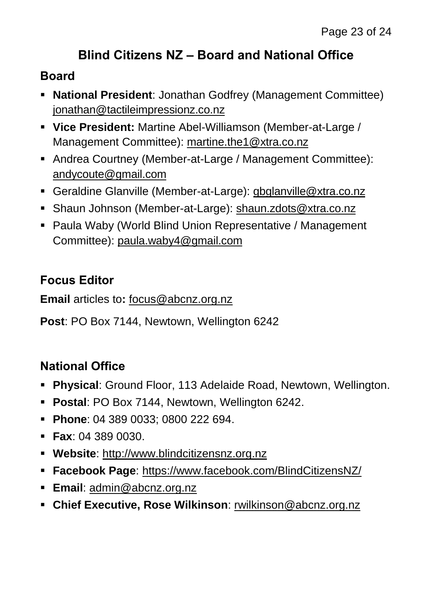### **Blind Citizens NZ – Board and National Office**

### **Board**

- **National President**: Jonathan Godfrey (Management Committee) [jonathan@tactileimpressionz.co.nz](mailto:jonathan@tactileimpressionz.co.nz)
- **Vice President:** Martine Abel-Williamson (Member-at-Large / Management Committee): [martine.the1@xtra.co.nz](mailto:martine.the1@xtra.co.nz)
- Andrea Courtney (Member-at-Large / Management Committee): [andycoute@gmail.com](mailto:andycoute@gmail.com)
- Geraldine Glanville (Member-at-Large): [gbglanville@xtra.co.nz](mailto:gbglanville@xtra.co.nz)
- Shaun Johnson (Member-at-Large): [shaun.zdots@xtra.co.nz](mailto:shaun.zdots@xtra.co.nz%20co.nz)
- Paula Waby (World Blind Union Representative / Management Committee): [paula.waby4@gmail.com](mailto:paula.waby4@gmail.com)

### **Focus Editor**

**Email** articles to**:** [focus@abcnz.org.nz](mailto:focus@abcnz.org.nz)

**Post**: PO Box 7144, Newtown, Wellington 6242

### **National Office**

- **Physical**: Ground Floor, 113 Adelaide Road, Newtown, Wellington.
- **Postal**: PO Box 7144, Newtown, Wellington 6242.
- **Phone: 04 389 0033; 0800 222 694.**
- **Fax**: 04 389 0030.
- **Website**: [http://www.blindcitizensnz.org.nz](http://www.blindcitizensnz.org.nz/)
- **Facebook Page**:<https://www.facebook.com/BlindCitizensNZ/>
- **Email**: [admin@abcnz.org.nz](mailto:admin@abcnz.org.nz)
- **Chief Executive, Rose Wilkinson**: [rwilkinson@abcnz.org.nz](mailto:rwilkinson@abcnz.org.nz)